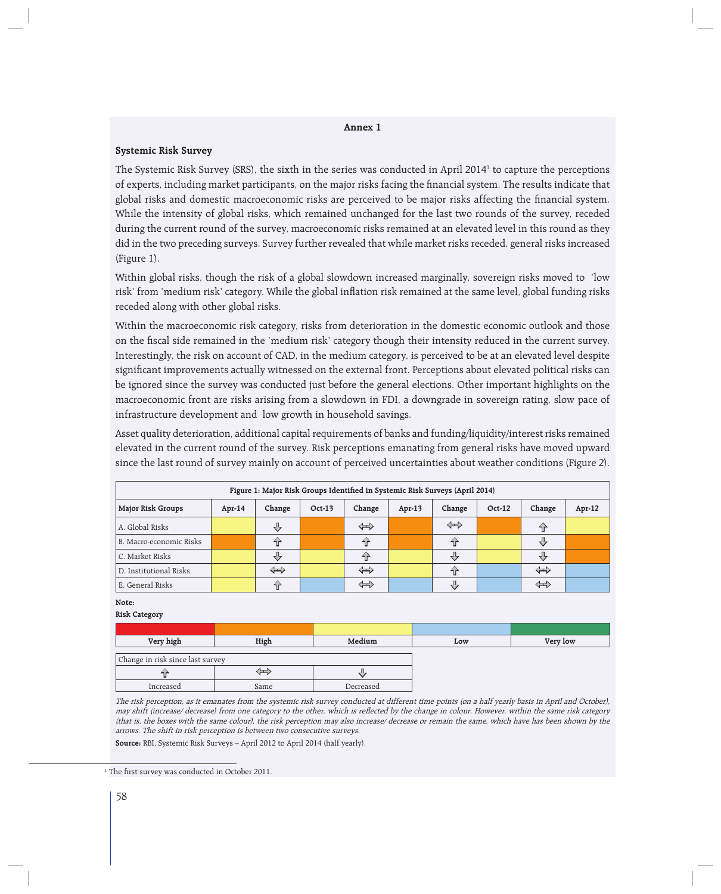## **Annex 1**

## **Systemic Risk Survey**

The Systemic Risk Survey (SRS), the sixth in the series was conducted in April 2014<sup>1</sup> to capture the perceptions of experts, including market participants, on the major risks facing the financial system. The results indicate that global risks and domestic macroeconomic risks are perceived to be major risks affecting the financial system. While the intensity of global risks, which remained unchanged for the last two rounds of the survey, receded during the current round of the survey, macroeconomic risks remained at an elevated level in this round as they did in the two preceding surveys. Survey further revealed that while market risks receded, general risks increased (Figure 1).

Within global risks, though the risk of a global slowdown increased marginally, sovereign risks moved to 'low risk' from 'medium risk' category. While the global inflation risk remained at the same level, global funding risks receded along with other global risks.

Within the macroeconomic risk category, risks from deterioration in the domestic economic outlook and those on the fiscal side remained in the 'medium risk' category though their intensity reduced in the current survey. Interestingly, the risk on account of CAD, in the medium category, is perceived to be at an elevated level despite significant improvements actually witnessed on the external front. Perceptions about elevated political risks can be ignored since the survey was conducted just before the general elections. Other important highlights on the macroeconomic front are risks arising from a slowdown in FDI, a downgrade in sovereign rating, slow pace of infrastructure development and low growth in household savings.

Asset quality deterioration, additional capital requirements of banks and funding/liquidity/interest risks remained elevated in the current round of the survey. Risk perceptions emanating from general risks have moved upward since the last round of survey mainly on account of perceived uncertainties about weather conditions (Figure 2).

| Figure 1: Major Risk Groups Identified in Systemic Risk Surveys (April 2014) |        |                   |          |                   |          |        |        |                   |           |
|------------------------------------------------------------------------------|--------|-------------------|----------|-------------------|----------|--------|--------|-------------------|-----------|
| Major Risk Groups                                                            | Apr-14 | Change            | $Oct-13$ | Change            | $Apr-13$ | Change | Oct-12 | Change            | Apr- $12$ |
| A. Global Risks                                                              |        | マン                |          | $\Leftrightarrow$ |          | ⇦      |        | ٦ř                |           |
| B. Macro-economic Risks                                                      |        | 45                |          | 구                 |          | 슈      |        | ЪĻ                |           |
| C. Market Risks                                                              |        | マク                |          | fr                |          | ЪĻ     |        | JЦ                |           |
| D. Institutional Risks                                                       |        | $\Leftrightarrow$ |          | $\Leftrightarrow$ |          | ⇧      |        | $\Leftrightarrow$ |           |
| E. General Risks                                                             |        | 45                |          | ⇎                 |          | Д,     |        | ⇦                 |           |

## **Note:**

**Risk Category**

| Very high                        | High | Medium    | Low | Very low |
|----------------------------------|------|-----------|-----|----------|
|                                  |      |           |     |          |
| Change in risk since last survey |      |           |     |          |
|                                  | 三    |           |     |          |
| Increased                        | Same | Decreased |     |          |

The risk perception, as it emanates from the systemic risk survey conducted at different time points (on a half yearly basis in April and October), may shift (increase/ decrease) from one category to the other, which is reflected by the change in colour. However, within the same risk category (that is, the boxes with the same colour), the risk perception may also increase/ decrease or remain the same, which have has been shown by the arrows. The shift in risk perception is between two consecutive surveys.

**Source:** RBI, Systemic Risk Surveys – April 2012 to April 2014 (half yearly).

<sup>&</sup>lt;sup>1</sup> The first survey was conducted in October 2011.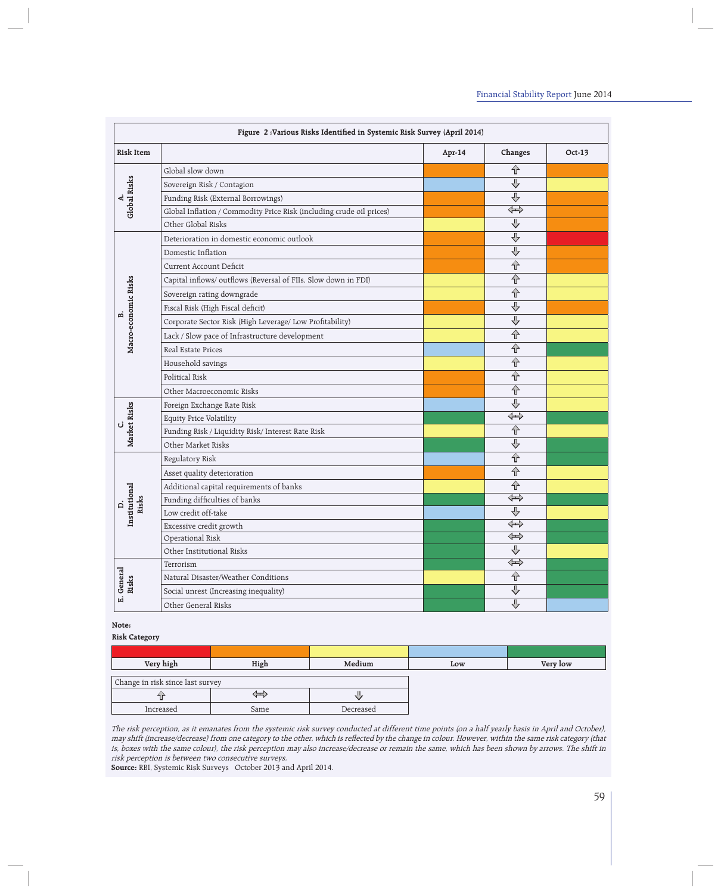| Figure 2: Various Risks Identified in Systemic Risk Survey (April 2014) |                                                                      |        |                                  |        |  |  |
|-------------------------------------------------------------------------|----------------------------------------------------------------------|--------|----------------------------------|--------|--|--|
| <b>Risk Item</b>                                                        |                                                                      | Apr-14 | Changes                          | Oct-13 |  |  |
| Global Risks                                                            | Global slow down                                                     |        | 仝                                |        |  |  |
|                                                                         | Sovereign Risk / Contagion                                           |        | $\overline{\Phi}$                |        |  |  |
|                                                                         | Funding Risk (External Borrowings)                                   |        | $\overline{\mathbb{P}}$          |        |  |  |
|                                                                         | Global Inflation / Commodity Price Risk (including crude oil prices) |        | $\widehat{\widehat{\mathbb{F}}}$ |        |  |  |
|                                                                         | Other Global Risks                                                   |        | $\overline{\mathbb{P}}$          |        |  |  |
|                                                                         | Deterioration in domestic economic outlook                           |        | $\overline{\bigtriangledown}$    |        |  |  |
|                                                                         | Domestic Inflation                                                   |        | ⊕                                |        |  |  |
|                                                                         | <b>Current Account Deficit</b>                                       |        | $\overline{\hat{\tau}}$          |        |  |  |
|                                                                         | Capital inflows/outflows (Reversal of FIIs, Slow down in FDI)        |        | 슈                                |        |  |  |
|                                                                         | Sovereign rating downgrade                                           |        | $\overline{\Uparrow}$            |        |  |  |
|                                                                         | Fiscal Risk (High Fiscal deficit)                                    |        | $\overline{\Phi}$                |        |  |  |
|                                                                         | Corporate Sector Risk (High Leverage/ Low Profitability)             |        | €                                |        |  |  |
| Macro-economic Risks                                                    | Lack / Slow pace of Infrastructure development                       |        | $\overline{\mathbb{P}}$          |        |  |  |
|                                                                         | <b>Real Estate Prices</b>                                            |        | 仐                                |        |  |  |
|                                                                         | Household savings                                                    |        | 仐                                |        |  |  |
|                                                                         | Political Risk                                                       |        | 슈                                |        |  |  |
|                                                                         | Other Macroeconomic Risks                                            |        | 仐                                |        |  |  |
|                                                                         | Foreign Exchange Rate Risk                                           |        | $\overline{\Phi}$                |        |  |  |
| Market Risks                                                            | <b>Equity Price Volatility</b>                                       |        | $\overline{\Bbb{G}}$             |        |  |  |
|                                                                         | Funding Risk / Liquidity Risk/ Interest Rate Risk                    |        | 仐                                |        |  |  |
|                                                                         | Other Market Risks                                                   |        | $\overline{\mathbb{P}}$          |        |  |  |
|                                                                         | Regulatory Risk                                                      |        | $\overline{\mathbf{r}}$          |        |  |  |
|                                                                         | Asset quality deterioration                                          |        | 仝                                |        |  |  |
|                                                                         | Additional capital requirements of banks                             |        | 仐                                |        |  |  |
| Institutional<br>Risks                                                  | Funding difficulties of banks                                        |        | $\overline{\Bbb{G}}$             |        |  |  |
|                                                                         | Low credit off-take                                                  |        | ⇩                                |        |  |  |
|                                                                         | Excessive credit growth                                              |        | $\Leftrightarrow$                |        |  |  |
|                                                                         | Operational Risk                                                     |        | $\Leftrightarrow$                |        |  |  |
|                                                                         | Other Institutional Risks                                            |        | $\overline{\Downarrow}$          |        |  |  |
|                                                                         | Terrorism                                                            |        | ⇎                                |        |  |  |
| General<br>Risks                                                        | Natural Disaster/Weather Conditions                                  |        | 仝                                |        |  |  |
| 편                                                                       | Social unrest (Increasing inequality)                                |        | $\overline{\Phi}$                |        |  |  |
|                                                                         | Other General Risks                                                  |        | $\overline{\mathrm{r}}$          |        |  |  |

**Note:**

**Risk Category**

| Very high                        | High | Medium    | Low | Very low |  |
|----------------------------------|------|-----------|-----|----------|--|
| Change in risk since last survey |      |           |     |          |  |
|                                  | <⊞>  |           |     |          |  |
| Increased                        | Same | Decreased |     |          |  |

The risk perception, as it emanates from the systemic risk survey conducted at different time points (on a half yearly basis in April and October), may shift (increase/decrease) from one category to the other, which is reflected by the change in colour. However, within the same risk category (that is, boxes with the same colour), the risk perception may also increase/decrease or remain the same, which has been shown by arrows. The shift in risk perception is between two consecutive surveys.

**Source:** RBI, Systemic Risk Surveys October 2013 and April 2014.